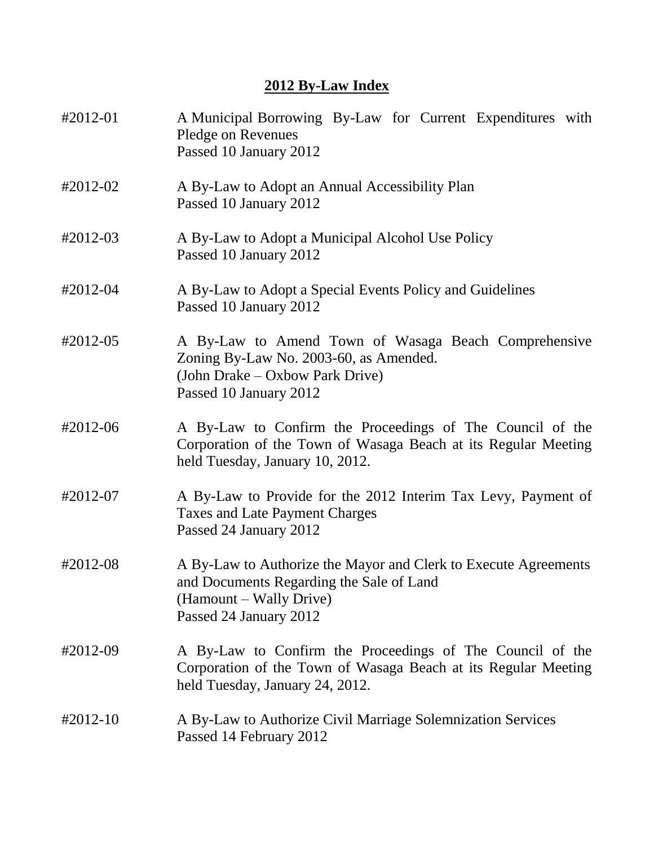### **2012 By-Law Index**

| #2012-01             | A Municipal Borrowing By-Law for Current Expenditures with<br>Pledge on Revenues<br>Passed 10 January 2012                                                       |
|----------------------|------------------------------------------------------------------------------------------------------------------------------------------------------------------|
| #2012-02             | A By-Law to Adopt an Annual Accessibility Plan<br>Passed 10 January 2012                                                                                         |
| $\text{\#}2012 - 03$ | A By-Law to Adopt a Municipal Alcohol Use Policy<br>Passed 10 January 2012                                                                                       |
| #2012-04             | A By-Law to Adopt a Special Events Policy and Guidelines<br>Passed 10 January 2012                                                                               |
| #2012-05             | A By-Law to Amend Town of Wasaga Beach Comprehensive<br>Zoning By-Law No. 2003-60, as Amended.<br>(John Drake – Oxbow Park Drive)<br>Passed 10 January 2012      |
| #2012-06             | A By-Law to Confirm the Proceedings of The Council of the<br>Corporation of the Town of Wasaga Beach at its Regular Meeting<br>held Tuesday, January 10, 2012.   |
| #2012-07             | A By-Law to Provide for the 2012 Interim Tax Levy, Payment of<br><b>Taxes and Late Payment Charges</b><br>Passed 24 January 2012                                 |
| #2012-08             | A By-Law to Authorize the Mayor and Clerk to Execute Agreements<br>and Documents Regarding the Sale of Land<br>(Hamount – Wally Drive)<br>Passed 24 January 2012 |
| #2012-09             | A By-Law to Confirm the Proceedings of The Council of the<br>Corporation of the Town of Wasaga Beach at its Regular Meeting<br>held Tuesday, January 24, 2012.   |
| $\text{\#}2012 - 10$ | A By-Law to Authorize Civil Marriage Solemnization Services<br>Passed 14 February 2012                                                                           |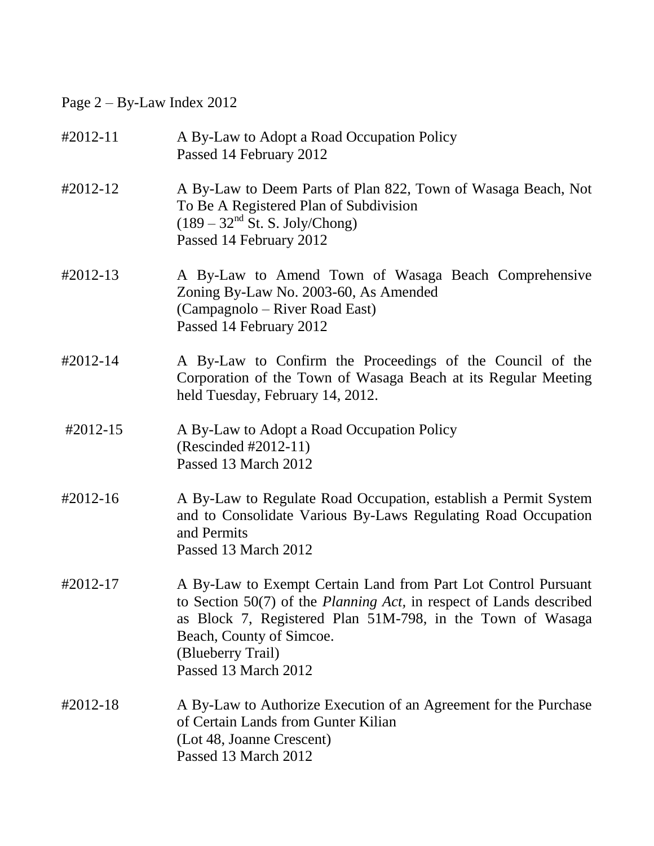# Page 2 – By-Law Index 2012

| $#2012 - 11$ | A By-Law to Adopt a Road Occupation Policy<br>Passed 14 February 2012                                                                                                                                                                                                                  |
|--------------|----------------------------------------------------------------------------------------------------------------------------------------------------------------------------------------------------------------------------------------------------------------------------------------|
| #2012-12     | A By-Law to Deem Parts of Plan 822, Town of Wasaga Beach, Not<br>To Be A Registered Plan of Subdivision<br>$(189 - 32nd$ St. S. Joly/Chong)<br>Passed 14 February 2012                                                                                                                 |
| $#2012-13$   | A By-Law to Amend Town of Wasaga Beach Comprehensive<br>Zoning By-Law No. 2003-60, As Amended<br>(Campagnolo – River Road East)<br>Passed 14 February 2012                                                                                                                             |
| #2012-14     | A By-Law to Confirm the Proceedings of the Council of the<br>Corporation of the Town of Wasaga Beach at its Regular Meeting<br>held Tuesday, February 14, 2012.                                                                                                                        |
| #2012-15     | A By-Law to Adopt a Road Occupation Policy<br>(Rescinded #2012-11)<br>Passed 13 March 2012                                                                                                                                                                                             |
| #2012-16     | A By-Law to Regulate Road Occupation, establish a Permit System<br>and to Consolidate Various By-Laws Regulating Road Occupation<br>and Permits<br>Passed 13 March 2012                                                                                                                |
| #2012-17     | A By-Law to Exempt Certain Land from Part Lot Control Pursuant<br>to Section $50(7)$ of the <i>Planning Act</i> , in respect of Lands described<br>as Block 7, Registered Plan 51M-798, in the Town of Wasaga<br>Beach, County of Simcoe.<br>(Blueberry Trail)<br>Passed 13 March 2012 |
| #2012-18     | A By-Law to Authorize Execution of an Agreement for the Purchase<br>of Certain Lands from Gunter Kilian<br>(Lot 48, Joanne Crescent)<br>Passed 13 March 2012                                                                                                                           |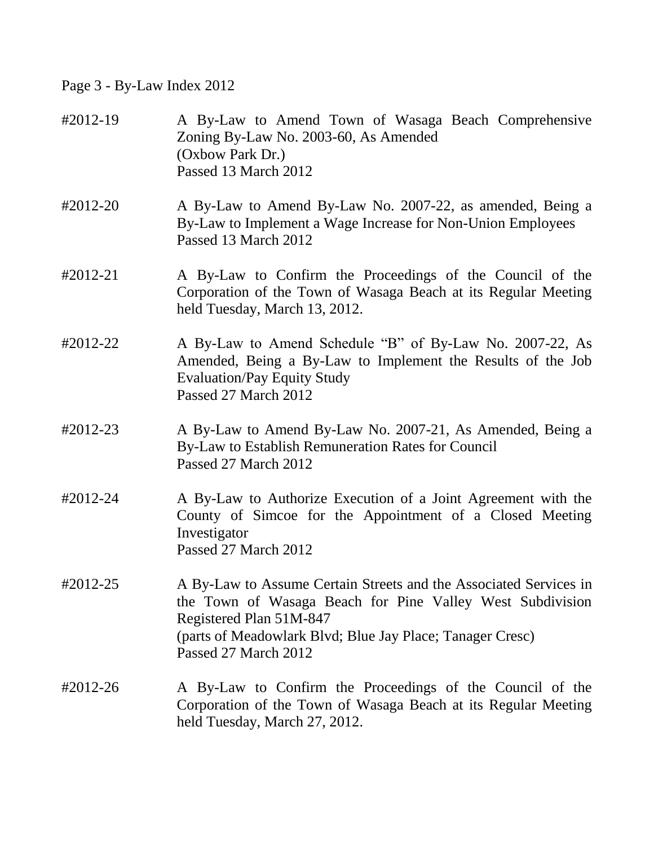# Page 3 - By-Law Index 2012

| #2012-19 | A By-Law to Amend Town of Wasaga Beach Comprehensive<br>Zoning By-Law No. 2003-60, As Amended<br>(Oxbow Park Dr.)<br>Passed 13 March 2012                                                                                                      |
|----------|------------------------------------------------------------------------------------------------------------------------------------------------------------------------------------------------------------------------------------------------|
| #2012-20 | A By-Law to Amend By-Law No. 2007-22, as amended, Being a<br>By-Law to Implement a Wage Increase for Non-Union Employees<br>Passed 13 March 2012                                                                                               |
| #2012-21 | A By-Law to Confirm the Proceedings of the Council of the<br>Corporation of the Town of Wasaga Beach at its Regular Meeting<br>held Tuesday, March 13, 2012.                                                                                   |
| #2012-22 | A By-Law to Amend Schedule "B" of By-Law No. 2007-22, As<br>Amended, Being a By-Law to Implement the Results of the Job<br><b>Evaluation/Pay Equity Study</b><br>Passed 27 March 2012                                                          |
| #2012-23 | A By-Law to Amend By-Law No. 2007-21, As Amended, Being a<br>By-Law to Establish Remuneration Rates for Council<br>Passed 27 March 2012                                                                                                        |
| #2012-24 | A By-Law to Authorize Execution of a Joint Agreement with the<br>County of Simcoe for the Appointment of a Closed Meeting<br>Investigator<br>Passed 27 March 2012                                                                              |
| #2012-25 | A By-Law to Assume Certain Streets and the Associated Services in<br>the Town of Wasaga Beach for Pine Valley West Subdivision<br>Registered Plan 51M-847<br>(parts of Meadowlark Blvd; Blue Jay Place; Tanager Cresc)<br>Passed 27 March 2012 |
| #2012-26 | A By-Law to Confirm the Proceedings of the Council of the<br>Corporation of the Town of Wasaga Beach at its Regular Meeting<br>held Tuesday, March 27, 2012.                                                                                   |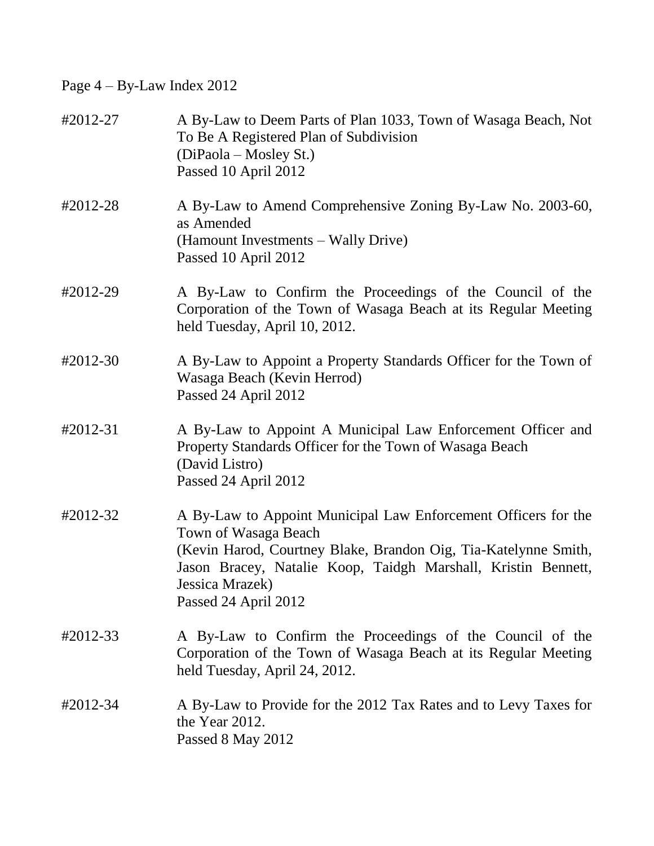Page 4 – By-Law Index 2012

| #2012-27 | A By-Law to Deem Parts of Plan 1033, Town of Wasaga Beach, Not<br>To Be A Registered Plan of Subdivision<br>(DiPaola – Mosley St.)<br>Passed 10 April 2012                                                                                                            |
|----------|-----------------------------------------------------------------------------------------------------------------------------------------------------------------------------------------------------------------------------------------------------------------------|
| #2012-28 | A By-Law to Amend Comprehensive Zoning By-Law No. 2003-60,<br>as Amended<br>(Hamount Investments – Wally Drive)<br>Passed 10 April 2012                                                                                                                               |
| #2012-29 | A By-Law to Confirm the Proceedings of the Council of the<br>Corporation of the Town of Wasaga Beach at its Regular Meeting<br>held Tuesday, April 10, 2012.                                                                                                          |
| #2012-30 | A By-Law to Appoint a Property Standards Officer for the Town of<br>Wasaga Beach (Kevin Herrod)<br>Passed 24 April 2012                                                                                                                                               |
| #2012-31 | A By-Law to Appoint A Municipal Law Enforcement Officer and<br>Property Standards Officer for the Town of Wasaga Beach<br>(David Listro)<br>Passed 24 April 2012                                                                                                      |
| #2012-32 | A By-Law to Appoint Municipal Law Enforcement Officers for the<br>Town of Wasaga Beach<br>(Kevin Harod, Courtney Blake, Brandon Oig, Tia-Katelynne Smith,<br>Jason Bracey, Natalie Koop, Taidgh Marshall, Kristin Bennett,<br>Jessica Mrazek)<br>Passed 24 April 2012 |
| #2012-33 | A By-Law to Confirm the Proceedings of the Council of the<br>Corporation of the Town of Wasaga Beach at its Regular Meeting<br>held Tuesday, April 24, 2012.                                                                                                          |
| #2012-34 | A By-Law to Provide for the 2012 Tax Rates and to Levy Taxes for<br>the Year 2012.<br>Passed 8 May 2012                                                                                                                                                               |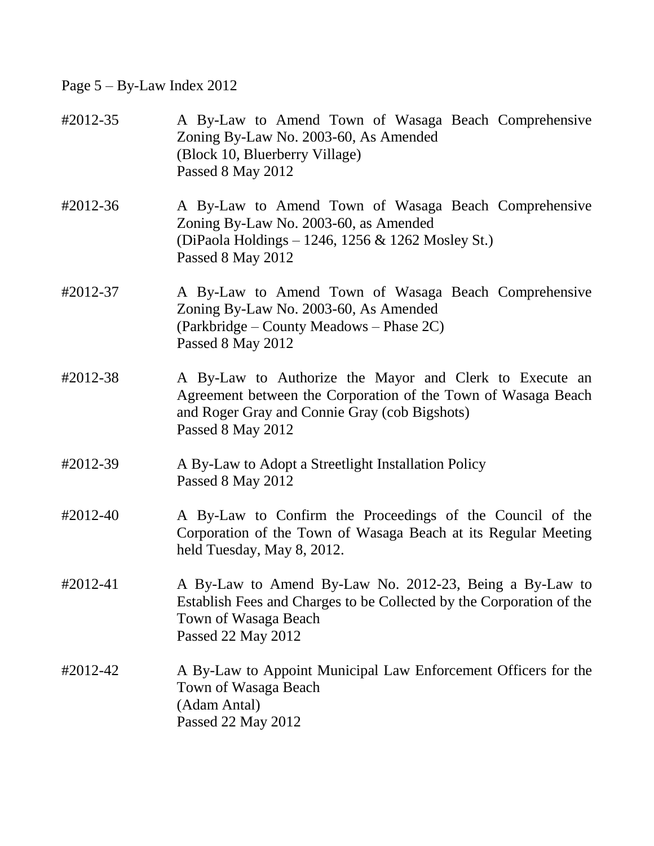# Page 5 – By-Law Index 2012

| #2012-35 | A By-Law to Amend Town of Wasaga Beach Comprehensive<br>Zoning By-Law No. 2003-60, As Amended<br>(Block 10, Bluerberry Village)<br>Passed 8 May 2012                                           |
|----------|------------------------------------------------------------------------------------------------------------------------------------------------------------------------------------------------|
| #2012-36 | A By-Law to Amend Town of Wasaga Beach Comprehensive<br>Zoning By-Law No. 2003-60, as Amended<br>(DiPaola Holdings – 1246, 1256 & 1262 Mosley St.)<br>Passed 8 May 2012                        |
| #2012-37 | A By-Law to Amend Town of Wasaga Beach Comprehensive<br>Zoning By-Law No. 2003-60, As Amended<br>(Parkbridge – County Meadows – Phase 2C)<br>Passed 8 May 2012                                 |
| #2012-38 | A By-Law to Authorize the Mayor and Clerk to Execute an<br>Agreement between the Corporation of the Town of Wasaga Beach<br>and Roger Gray and Connie Gray (cob Bigshots)<br>Passed 8 May 2012 |
| #2012-39 | A By-Law to Adopt a Streetlight Installation Policy<br>Passed 8 May 2012                                                                                                                       |
| #2012-40 | A By-Law to Confirm the Proceedings of the Council of the<br>Corporation of the Town of Wasaga Beach at its Regular Meeting<br>held Tuesday, May 8, 2012.                                      |
| #2012-41 | A By-Law to Amend By-Law No. 2012-23, Being a By-Law to<br>Establish Fees and Charges to be Collected by the Corporation of the<br>Town of Wasaga Beach<br>Passed 22 May 2012                  |
| #2012-42 | A By-Law to Appoint Municipal Law Enforcement Officers for the<br>Town of Wasaga Beach<br>(Adam Antal)<br>Passed 22 May 2012                                                                   |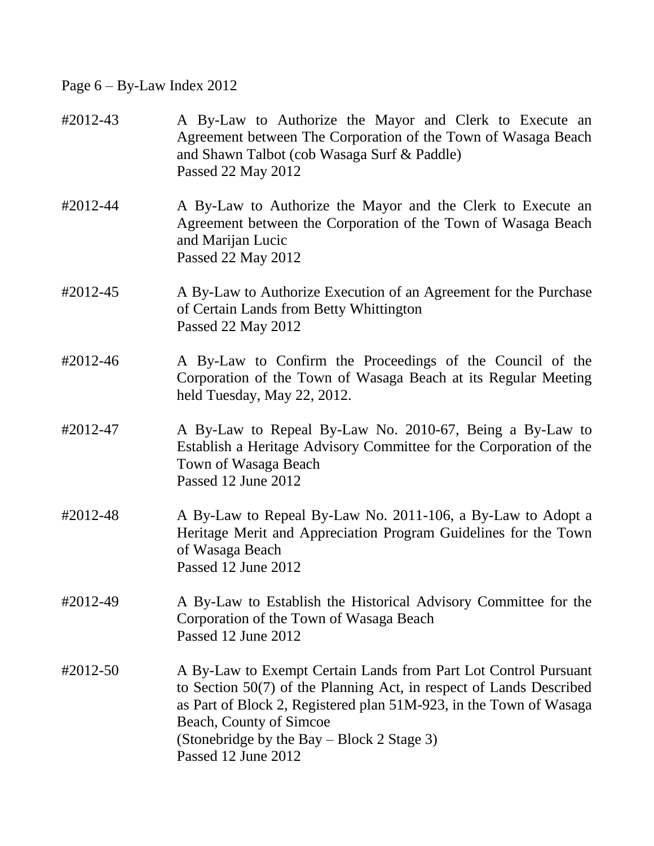## Page 6 – By-Law Index 2012

| #2012-43 | A By-Law to Authorize the Mayor and Clerk to Execute an<br>Agreement between The Corporation of the Town of Wasaga Beach<br>and Shawn Talbot (cob Wasaga Surf & Paddle)<br>Passed 22 May 2012                                                                                                                  |
|----------|----------------------------------------------------------------------------------------------------------------------------------------------------------------------------------------------------------------------------------------------------------------------------------------------------------------|
| #2012-44 | A By-Law to Authorize the Mayor and the Clerk to Execute an<br>Agreement between the Corporation of the Town of Wasaga Beach<br>and Marijan Lucic<br>Passed 22 May 2012                                                                                                                                        |
| #2012-45 | A By-Law to Authorize Execution of an Agreement for the Purchase<br>of Certain Lands from Betty Whittington<br>Passed 22 May 2012                                                                                                                                                                              |
| #2012-46 | A By-Law to Confirm the Proceedings of the Council of the<br>Corporation of the Town of Wasaga Beach at its Regular Meeting<br>held Tuesday, May 22, 2012.                                                                                                                                                     |
| #2012-47 | A By-Law to Repeal By-Law No. 2010-67, Being a By-Law to<br>Establish a Heritage Advisory Committee for the Corporation of the<br>Town of Wasaga Beach<br>Passed 12 June 2012                                                                                                                                  |
| #2012-48 | A By-Law to Repeal By-Law No. 2011-106, a By-Law to Adopt a<br>Heritage Merit and Appreciation Program Guidelines for the Town<br>of Wasaga Beach<br>Passed 12 June 2012                                                                                                                                       |
| #2012-49 | A By-Law to Establish the Historical Advisory Committee for the<br>Corporation of the Town of Wasaga Beach<br>Passed 12 June 2012                                                                                                                                                                              |
| #2012-50 | A By-Law to Exempt Certain Lands from Part Lot Control Pursuant<br>to Section $50(7)$ of the Planning Act, in respect of Lands Described<br>as Part of Block 2, Registered plan 51M-923, in the Town of Wasaga<br>Beach, County of Simcoe<br>(Stonebridge by the Bay – Block 2 Stage 3)<br>Passed 12 June 2012 |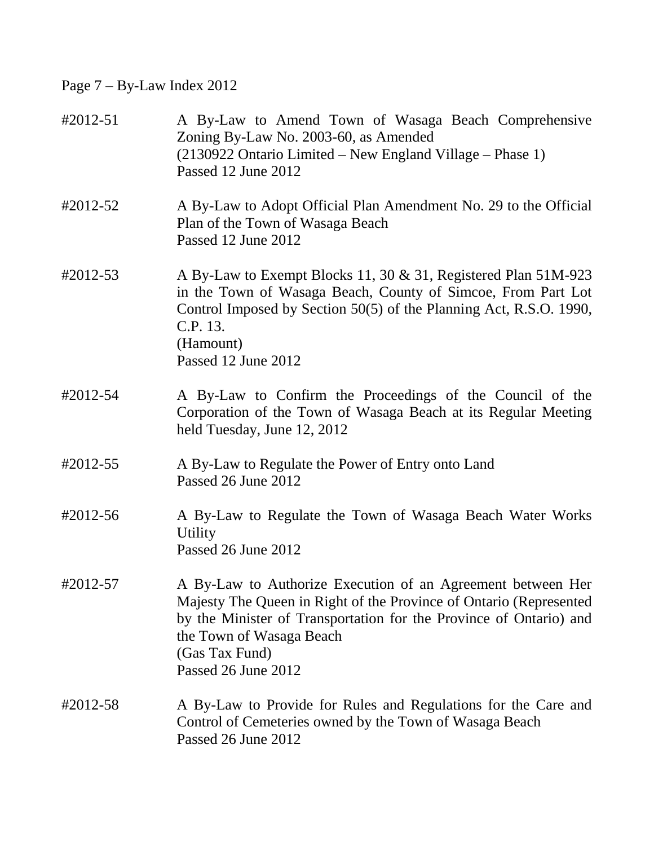# Page 7 – By-Law Index 2012

| #2012-51 | A By-Law to Amend Town of Wasaga Beach Comprehensive<br>Zoning By-Law No. 2003-60, as Amended<br>(2130922 Ontario Limited – New England Village – Phase 1)<br>Passed 12 June 2012                                                                                            |
|----------|------------------------------------------------------------------------------------------------------------------------------------------------------------------------------------------------------------------------------------------------------------------------------|
| #2012-52 | A By-Law to Adopt Official Plan Amendment No. 29 to the Official<br>Plan of the Town of Wasaga Beach<br>Passed 12 June 2012                                                                                                                                                  |
| #2012-53 | A By-Law to Exempt Blocks 11, 30 & 31, Registered Plan 51M-923<br>in the Town of Wasaga Beach, County of Simcoe, From Part Lot<br>Control Imposed by Section 50(5) of the Planning Act, R.S.O. 1990,<br>C.P. 13.<br>(Hamount)<br>Passed 12 June 2012                         |
| #2012-54 | A By-Law to Confirm the Proceedings of the Council of the<br>Corporation of the Town of Wasaga Beach at its Regular Meeting<br>held Tuesday, June 12, 2012                                                                                                                   |
| #2012-55 | A By-Law to Regulate the Power of Entry onto Land<br>Passed 26 June 2012                                                                                                                                                                                                     |
| #2012-56 | A By-Law to Regulate the Town of Wasaga Beach Water Works<br><b>Utility</b><br>Passed 26 June 2012                                                                                                                                                                           |
| #2012-57 | A By-Law to Authorize Execution of an Agreement between Her<br>Majesty The Queen in Right of the Province of Ontario (Represented<br>by the Minister of Transportation for the Province of Ontario) and<br>the Town of Wasaga Beach<br>(Gas Tax Fund)<br>Passed 26 June 2012 |
| #2012-58 | A By-Law to Provide for Rules and Regulations for the Care and<br>Control of Cemeteries owned by the Town of Wasaga Beach<br>Passed 26 June 2012                                                                                                                             |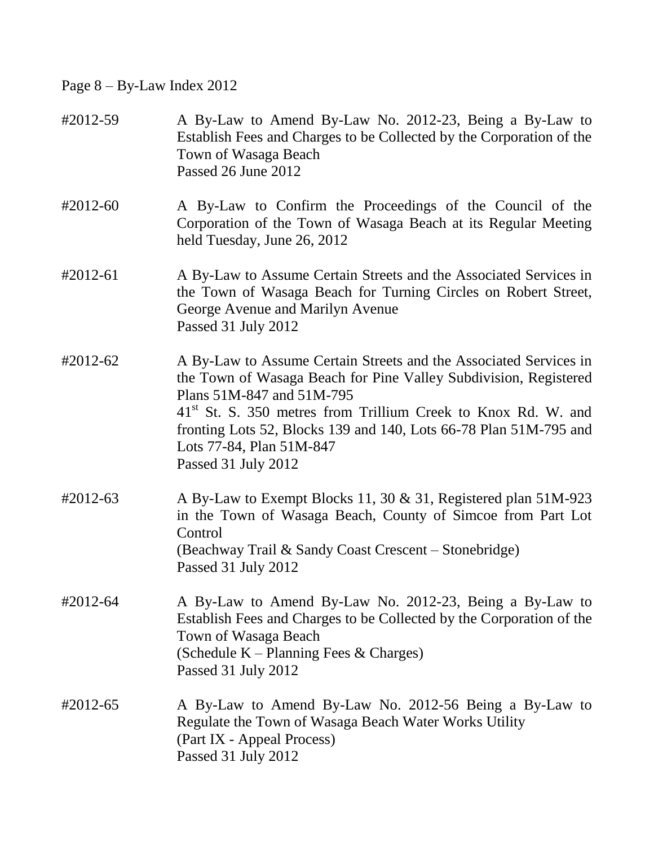# Page 8 – By-Law Index 2012

| #2012-59   | A By-Law to Amend By-Law No. 2012-23, Being a By-Law to<br>Establish Fees and Charges to be Collected by the Corporation of the<br>Town of Wasaga Beach<br>Passed 26 June 2012                                                                                                                                                                                          |
|------------|-------------------------------------------------------------------------------------------------------------------------------------------------------------------------------------------------------------------------------------------------------------------------------------------------------------------------------------------------------------------------|
| $#2012-60$ | A By-Law to Confirm the Proceedings of the Council of the<br>Corporation of the Town of Wasaga Beach at its Regular Meeting<br>held Tuesday, June 26, 2012                                                                                                                                                                                                              |
| #2012-61   | A By-Law to Assume Certain Streets and the Associated Services in<br>the Town of Wasaga Beach for Turning Circles on Robert Street,<br>George Avenue and Marilyn Avenue<br>Passed 31 July 2012                                                                                                                                                                          |
| #2012-62   | A By-Law to Assume Certain Streets and the Associated Services in<br>the Town of Wasaga Beach for Pine Valley Subdivision, Registered<br>Plans 51M-847 and 51M-795<br>41 <sup>st</sup> St. S. 350 metres from Trillium Creek to Knox Rd. W. and<br>fronting Lots 52, Blocks 139 and 140, Lots 66-78 Plan 51M-795 and<br>Lots 77-84, Plan 51M-847<br>Passed 31 July 2012 |
| #2012-63   | A By-Law to Exempt Blocks 11, 30 & 31, Registered plan 51M-923<br>in the Town of Wasaga Beach, County of Simcoe from Part Lot<br>Control<br>(Beachway Trail & Sandy Coast Crescent - Stonebridge)<br>Passed 31 July 2012                                                                                                                                                |
| #2012-64   | A By-Law to Amend By-Law No. 2012-23, Being a By-Law to<br>Establish Fees and Charges to be Collected by the Corporation of the<br>Town of Wasaga Beach<br>(Schedule K – Planning Fees & Charges)<br>Passed 31 July 2012                                                                                                                                                |
| #2012-65   | A By-Law to Amend By-Law No. 2012-56 Being a By-Law to<br>Regulate the Town of Wasaga Beach Water Works Utility<br>(Part IX - Appeal Process)<br>Passed 31 July 2012                                                                                                                                                                                                    |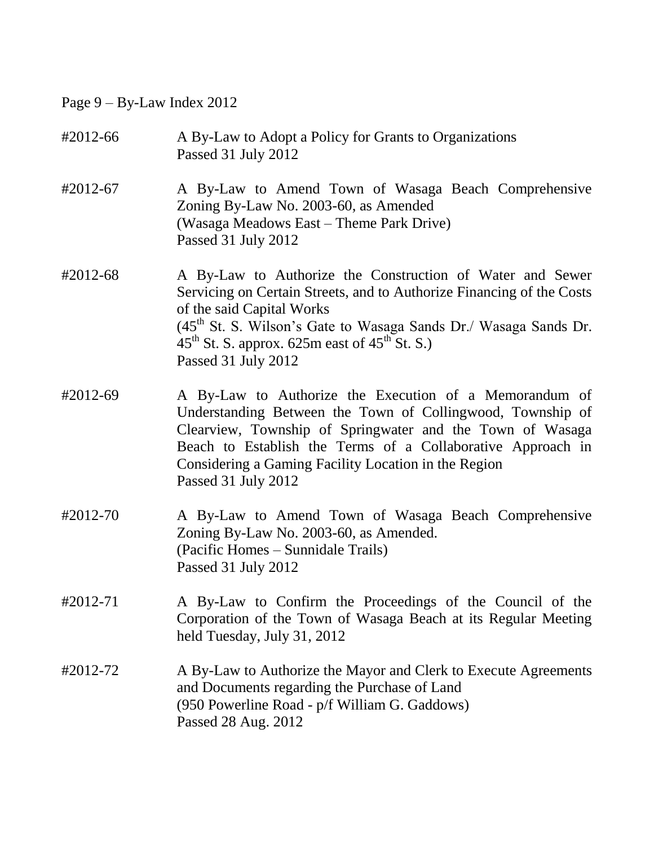# Page 9 – By-Law Index 2012

| #2012-66 | A By-Law to Adopt a Policy for Grants to Organizations<br>Passed 31 July 2012                                                                                                                                                                                                                                                                   |
|----------|-------------------------------------------------------------------------------------------------------------------------------------------------------------------------------------------------------------------------------------------------------------------------------------------------------------------------------------------------|
| #2012-67 | A By-Law to Amend Town of Wasaga Beach Comprehensive<br>Zoning By-Law No. 2003-60, as Amended<br>(Wasaga Meadows East – Theme Park Drive)<br>Passed 31 July 2012                                                                                                                                                                                |
| #2012-68 | A By-Law to Authorize the Construction of Water and Sewer<br>Servicing on Certain Streets, and to Authorize Financing of the Costs<br>of the said Capital Works<br>(45 <sup>th</sup> St. S. Wilson's Gate to Wasaga Sands Dr./ Wasaga Sands Dr.<br>$45^{\text{th}}$ St. S. approx. 625m east of $45^{\text{th}}$ St. S.)<br>Passed 31 July 2012 |
| #2012-69 | A By-Law to Authorize the Execution of a Memorandum of<br>Understanding Between the Town of Collingwood, Township of<br>Clearview, Township of Springwater and the Town of Wasaga<br>Beach to Establish the Terms of a Collaborative Approach in<br>Considering a Gaming Facility Location in the Region<br>Passed 31 July 2012                 |
| #2012-70 | A By-Law to Amend Town of Wasaga Beach Comprehensive<br>Zoning By-Law No. 2003-60, as Amended.<br>(Pacific Homes – Sunnidale Trails)<br>Passed 31 July 2012                                                                                                                                                                                     |
| #2012-71 | A By-Law to Confirm the Proceedings of the Council of the<br>Corporation of the Town of Wasaga Beach at its Regular Meeting<br>held Tuesday, July 31, 2012                                                                                                                                                                                      |
| #2012-72 | A By-Law to Authorize the Mayor and Clerk to Execute Agreements<br>and Documents regarding the Purchase of Land<br>(950 Powerline Road - p/f William G. Gaddows)<br>Passed 28 Aug. 2012                                                                                                                                                         |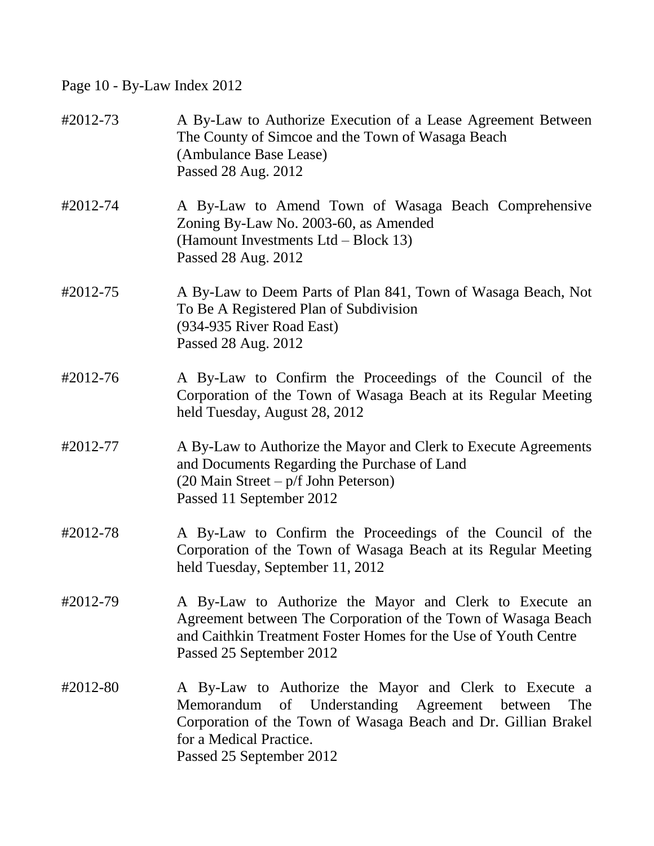Page 10 - By-Law Index 2012

| #2012-73 | A By-Law to Authorize Execution of a Lease Agreement Between<br>The County of Simcoe and the Town of Wasaga Beach<br>(Ambulance Base Lease)<br>Passed 28 Aug. 2012                                                                         |
|----------|--------------------------------------------------------------------------------------------------------------------------------------------------------------------------------------------------------------------------------------------|
| #2012-74 | A By-Law to Amend Town of Wasaga Beach Comprehensive<br>Zoning By-Law No. 2003-60, as Amended<br>(Hamount Investments Ltd – Block 13)<br>Passed 28 Aug. 2012                                                                               |
| #2012-75 | A By-Law to Deem Parts of Plan 841, Town of Wasaga Beach, Not<br>To Be A Registered Plan of Subdivision<br>(934-935 River Road East)<br>Passed 28 Aug. 2012                                                                                |
| #2012-76 | A By-Law to Confirm the Proceedings of the Council of the<br>Corporation of the Town of Wasaga Beach at its Regular Meeting<br>held Tuesday, August 28, 2012                                                                               |
| #2012-77 | A By-Law to Authorize the Mayor and Clerk to Execute Agreements<br>and Documents Regarding the Purchase of Land<br>(20 Main Street – p/f John Peterson)<br>Passed 11 September 2012                                                        |
| #2012-78 | A By-Law to Confirm the Proceedings of the Council of the<br>Corporation of the Town of Wasaga Beach at its Regular Meeting<br>held Tuesday, September 11, 2012                                                                            |
| #2012-79 | A By-Law to Authorize the Mayor and Clerk to Execute an<br>Agreement between The Corporation of the Town of Wasaga Beach<br>and Caithkin Treatment Foster Homes for the Use of Youth Centre<br>Passed 25 September 2012                    |
| #2012-80 | A By-Law to Authorize the Mayor and Clerk to Execute a<br>of Understanding Agreement between<br>Memorandum<br>The<br>Corporation of the Town of Wasaga Beach and Dr. Gillian Brakel<br>for a Medical Practice.<br>Passed 25 September 2012 |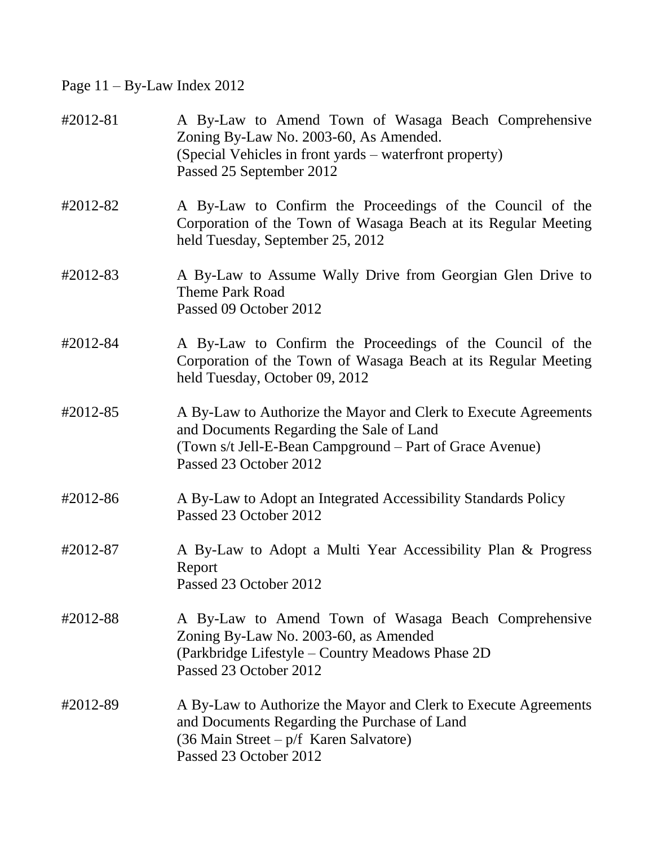Page 11 – By-Law Index 2012

| #2012-81 | A By-Law to Amend Town of Wasaga Beach Comprehensive<br>Zoning By-Law No. 2003-60, As Amended.<br>(Special Vehicles in front yards – waterfront property)<br>Passed 25 September 2012                 |
|----------|-------------------------------------------------------------------------------------------------------------------------------------------------------------------------------------------------------|
| #2012-82 | A By-Law to Confirm the Proceedings of the Council of the<br>Corporation of the Town of Wasaga Beach at its Regular Meeting<br>held Tuesday, September 25, 2012                                       |
| #2012-83 | A By-Law to Assume Wally Drive from Georgian Glen Drive to<br><b>Theme Park Road</b><br>Passed 09 October 2012                                                                                        |
| #2012-84 | A By-Law to Confirm the Proceedings of the Council of the<br>Corporation of the Town of Wasaga Beach at its Regular Meeting<br>held Tuesday, October 09, 2012                                         |
| #2012-85 | A By-Law to Authorize the Mayor and Clerk to Execute Agreements<br>and Documents Regarding the Sale of Land<br>(Town s/t Jell-E-Bean Campground – Part of Grace Avenue)<br>Passed 23 October 2012     |
| #2012-86 | A By-Law to Adopt an Integrated Accessibility Standards Policy<br>Passed 23 October 2012                                                                                                              |
| #2012-87 | A By-Law to Adopt a Multi Year Accessibility Plan & Progress<br>Report<br>Passed 23 October 2012                                                                                                      |
| #2012-88 | A By-Law to Amend Town of Wasaga Beach Comprehensive<br>Zoning By-Law No. 2003-60, as Amended<br>(Parkbridge Lifestyle – Country Meadows Phase 2D)<br>Passed 23 October 2012                          |
| #2012-89 | A By-Law to Authorize the Mayor and Clerk to Execute Agreements<br>and Documents Regarding the Purchase of Land<br>$(36 \text{ Main Street} - p/f \text{ Karen Salvatore})$<br>Passed 23 October 2012 |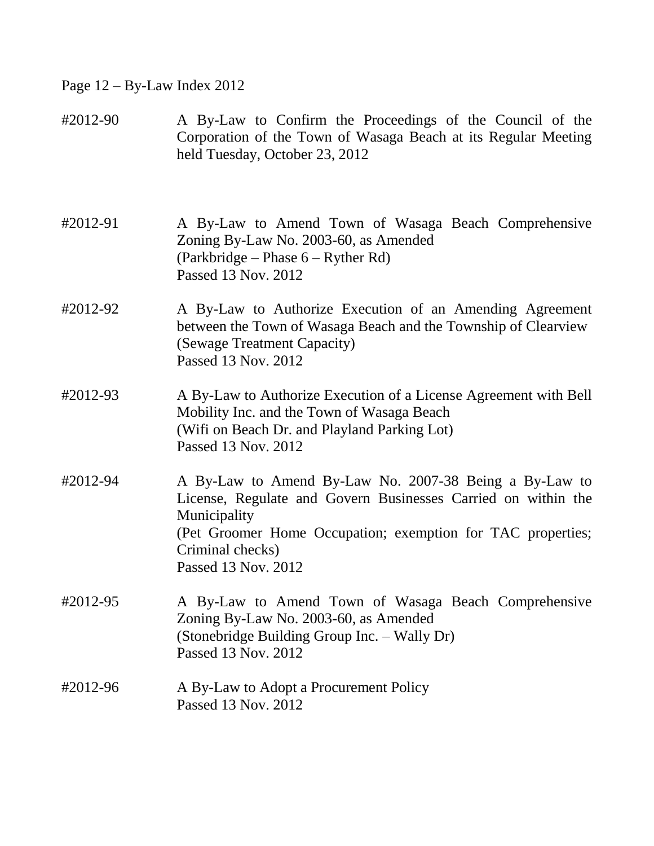Page 12 – By-Law Index 2012

| #2012-90 | A By-Law to Confirm the Proceedings of the Council of the<br>Corporation of the Town of Wasaga Beach at its Regular Meeting<br>held Tuesday, October 23, 2012                                                                                     |
|----------|---------------------------------------------------------------------------------------------------------------------------------------------------------------------------------------------------------------------------------------------------|
| #2012-91 | A By-Law to Amend Town of Wasaga Beach Comprehensive<br>Zoning By-Law No. 2003-60, as Amended<br>(Parkbridge – Phase 6 – Ryther Rd)<br>Passed 13 Nov. 2012                                                                                        |
| #2012-92 | A By-Law to Authorize Execution of an Amending Agreement<br>between the Town of Wasaga Beach and the Township of Clearview<br>(Sewage Treatment Capacity)<br>Passed 13 Nov. 2012                                                                  |
| #2012-93 | A By-Law to Authorize Execution of a License Agreement with Bell<br>Mobility Inc. and the Town of Wasaga Beach<br>(Wifi on Beach Dr. and Playland Parking Lot)<br>Passed 13 Nov. 2012                                                             |
| #2012-94 | A By-Law to Amend By-Law No. 2007-38 Being a By-Law to<br>License, Regulate and Govern Businesses Carried on within the<br>Municipality<br>(Pet Groomer Home Occupation; exemption for TAC properties;<br>Criminal checks)<br>Passed 13 Nov. 2012 |
| #2012-95 | A By-Law to Amend Town of Wasaga Beach Comprehensive<br>Zoning By-Law No. 2003-60, as Amended<br>(Stonebridge Building Group Inc. - Wally Dr)<br>Passed 13 Nov. 2012                                                                              |
| #2012-96 | A By-Law to Adopt a Procurement Policy<br>Passed 13 Nov. 2012                                                                                                                                                                                     |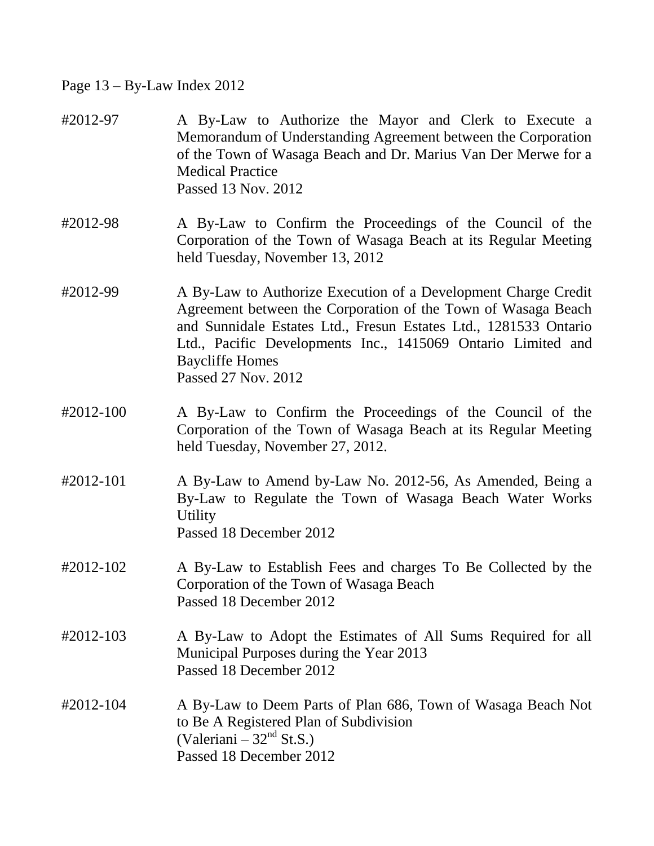## Page 13 – By-Law Index 2012

| #2012-97  | A By-Law to Authorize the Mayor and Clerk to Execute a<br>Memorandum of Understanding Agreement between the Corporation<br>of the Town of Wasaga Beach and Dr. Marius Van Der Merwe for a<br><b>Medical Practice</b><br>Passed 13 Nov. 2012                                                                          |
|-----------|----------------------------------------------------------------------------------------------------------------------------------------------------------------------------------------------------------------------------------------------------------------------------------------------------------------------|
| #2012-98  | A By-Law to Confirm the Proceedings of the Council of the<br>Corporation of the Town of Wasaga Beach at its Regular Meeting<br>held Tuesday, November 13, 2012                                                                                                                                                       |
| #2012-99  | A By-Law to Authorize Execution of a Development Charge Credit<br>Agreement between the Corporation of the Town of Wasaga Beach<br>and Sunnidale Estates Ltd., Fresun Estates Ltd., 1281533 Ontario<br>Ltd., Pacific Developments Inc., 1415069 Ontario Limited and<br><b>Baycliffe Homes</b><br>Passed 27 Nov. 2012 |
| #2012-100 | A By-Law to Confirm the Proceedings of the Council of the<br>Corporation of the Town of Wasaga Beach at its Regular Meeting<br>held Tuesday, November 27, 2012.                                                                                                                                                      |
| #2012-101 | A By-Law to Amend by-Law No. 2012-56, As Amended, Being a<br>By-Law to Regulate the Town of Wasaga Beach Water Works<br><b>Utility</b><br>Passed 18 December 2012                                                                                                                                                    |
| #2012-102 | A By-Law to Establish Fees and charges To Be Collected by the<br>Corporation of the Town of Wasaga Beach<br>Passed 18 December 2012                                                                                                                                                                                  |
| #2012-103 | A By-Law to Adopt the Estimates of All Sums Required for all<br>Municipal Purposes during the Year 2013<br>Passed 18 December 2012                                                                                                                                                                                   |
| #2012-104 | A By-Law to Deem Parts of Plan 686, Town of Wasaga Beach Not<br>to Be A Registered Plan of Subdivision<br>(Valeriani – $32nd$ St.S.)<br>Passed 18 December 2012                                                                                                                                                      |